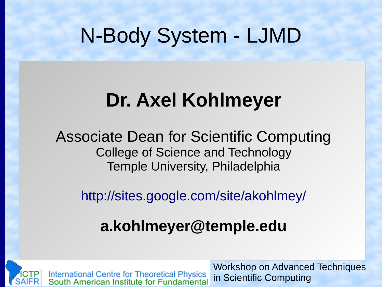#### N-Body System - LJMD

#### **Dr. Axel Kohlmeyer**

Associate Dean for Scientific Computing College of Science and Technology Temple University, Philadelphia

<http://sites.google.com/site/akohlmey/>

#### **a.kohlmeyer@temple.edu**



International Centre for Theoretical Physics<br>South American Institute for Fundamental

Workshop on Advanced Techniques in Scientific Computing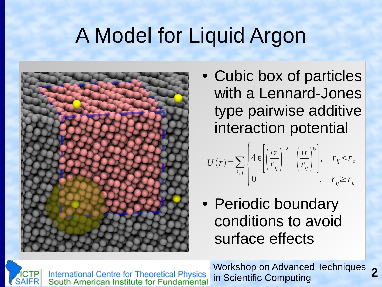## A Model for Liquid Argon



• Cubic box of particles with a Lennard-Jones type pairwise additive interaction potential

$$
U(r) = \sum_{i,j} \left\{ 4 \epsilon \left[ \left( \frac{\sigma}{r_{ij}} \right)^{12} - \left( \frac{\sigma}{r_{ij}} \right)^{6} \right], \quad r_{ij} < r_{c} \right\}
$$
  
0,  $r_{ij} \ge r_{c}$ 

• Periodic boundary conditions to avoid surface effects



International Centre for Theoretical Physics<br>South American Institute for Fundamental

**2** Workshop on Advanced Techniques in Scientific Computing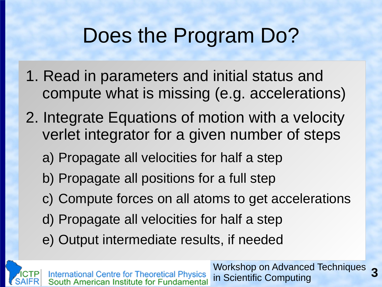### Does the Program Do?

- 1. Read in parameters and initial status and compute what is missing (e.g. accelerations)
- 2. Integrate Equations of motion with a velocity verlet integrator for a given number of steps
	- a) Propagate all velocities for half a step
	- b) Propagate all positions for a full step
	- c) Compute forces on all atoms to get accelerations
	- d) Propagate all velocities for half a step
	- e) Output intermediate results, if needed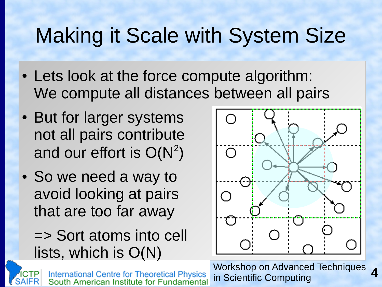# Making it Scale with System Size

- Lets look at the force compute algorithm: We compute all distances between all pairs
- But for larger systems not all pairs contribute and our effort is  $O(N^2)$
- So we need a way to avoid looking at pairs that are too far away

=> Sort atoms into cell lists, which is O(N)

**International Centre for Theoretical Physics** South American Institute for Fundamental



**4** Workshop on Advanced Techniques in Scientific Computing